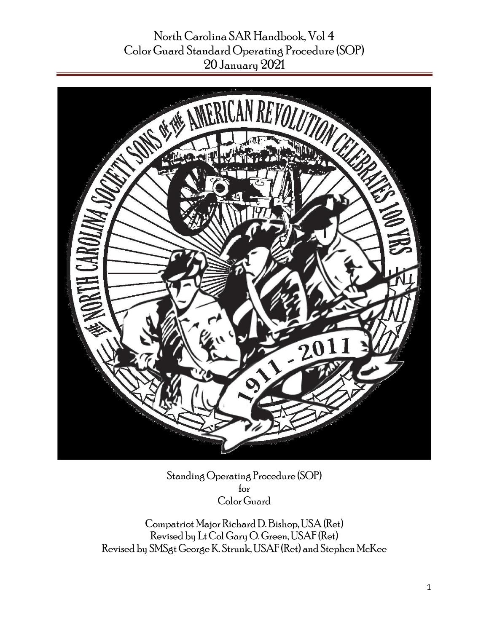

Standing Operating Procedure (SOP) for Color Guard

Compatriot Major Richard D. Bishop, USA (Ret) Revised by Lt Col Gary O. Green, USAF (Ret) Revised by SMSgt George K. Strunk, USAF (Ret) and Stephen McKee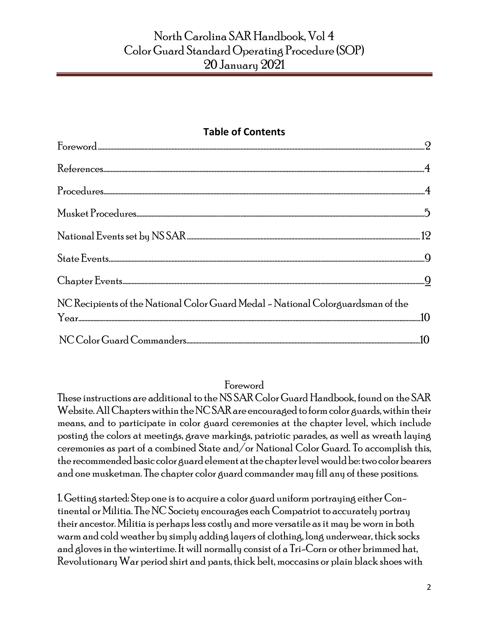#### **Table of Contents**

| NC Recipients of the National Color Guard Medal - National Colorguardsman of the |  |
|----------------------------------------------------------------------------------|--|
|                                                                                  |  |

#### Foreword

<span id="page-1-0"></span>These instructions are additional to the NS SAR Color Guard Handbook, found on the SAR Website. All Chapters within the NCSAR are encouraged to form color guards, within their means, and to participate in color guard ceremonies at the chapter level, which include posting the colors at meetings, grave markings, patriotic parades, as well as wreath laying ceremonies as part of a combined State and/or National Color Guard. To accomplish this, the recommended basic color guard element at the chapter level would be:two color bearers and one musketman. The chapter color guard commander may fill any of these positions.

1. Getting started: Step one is to acquire a color guard uniform portraying either Continental or Militia. The NC Society encourages each Compatriot to accurately portray their ancestor. Militia is perhaps less costly and more versatile as it may be worn in both warm and cold weather by simply adding layers of clothing, long underwear, thick socks and gloves in the wintertime. It will normally consist of a Tri-Corn or other brimmed hat, Revolutionary War period shirt and pants, thick belt, moccasins or plain black shoes with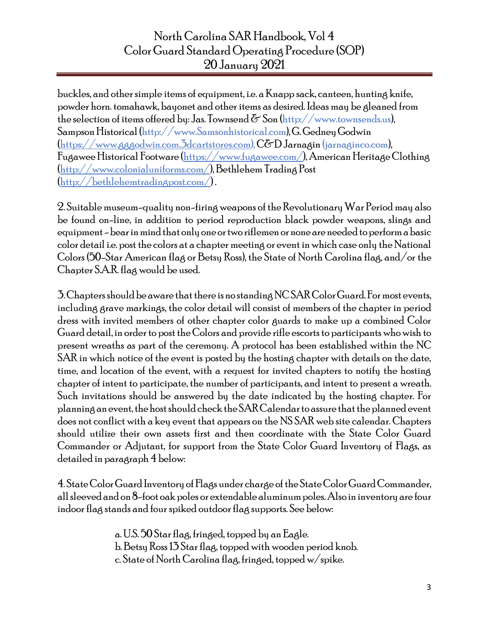buckles, and other simple items of equipment, i.e. a Knapp sack, canteen, hunting knife, powder horn. tomahawk, bayonet and other items as desired. Ideas may be gleaned from the selection of items offered by: Jas. Townsend  $\delta$  Son (http://www.townsends.us), Sampson Historical (http://www.Samsonhistorical.com),G. GedneyGodwin [\(https://www.gggodwin.com.3dcartstores.com\)](https://www.gggodwin.com.3dcartstores.com/),C&D Jarnagin (jarnaginco.com), Fugawee Historical Footware [\(https://www.fugawee.com/\)](https://www.fugawee.com/), American Heritage Clothing [\(http://www.colonialuniforms.com/\)](http://www.colonialuniforms.com/), Bethlehem Trading Post [\(http://bethlehemtradingpost.com/\)](http://bethlehemtradingpost.com/) .

2. Suitable museum-quality non-firing weapons of the Revolutionary War Period may also be found on-line, in addition to period reproduction black powder weapons, slings and equipment -bear in mind that only one or two riflemen or none are needed to perform a basic color detail i.e. post the colors at a chapter meeting or event in which case only the National Colors (50-Star American flag or Betsy Ross), the State of North Carolina flag, and/or the Chapter S.A.R. flag would be used.

3. Chapters should be aware that there is no standing NC SARColor Guard. For most events, including grave markings, the color detail will consist of members of the chapter in period dress with invited members of other chapter color guards to make up a combined Color Guard detail, in order to post the Colors and provide rifle escorts to participants who wish to present wreaths as part of the ceremony. A protocol has been established within the NC SAR in which notice of the event is posted by the hosting chapter with details on the date, time, and location of the event, with a request for invited chapters to notify the hosting chapter of intent to participate, the number of participants, and intent to present a wreath. Such invitations should be answered by the date indicated by the hosting chapter. For planning an event, the host should check the SAR Calendar to assure that the planned event does not conflict with a key event that appears on the NS SAR web site calendar. Chapters should utilize their own assets first and then coordinate with the State Color Guard Commander or Adjutant, for support from the State Color Guard Inventory of Flags, as detailed in paragraph 4 below:

4. State Color Guard Inventory of Flags under charge of the State Color Guard Commander, all sleeved and on 8-foot oak poles or extendable aluminum poles. Also in inventory are four indoor flag stands and four spiked outdoor flag supports. See below:

> a. U.S. 50 Star flag, fringed, topped by an Eagle. b. Betsy Ross 13 Star flag, topped with wooden period knob. c. State of North Carolina flag, fringed, topped w/spike.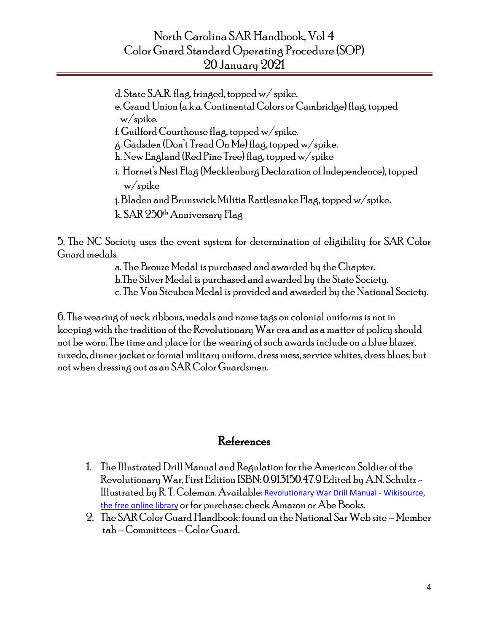d. State S.A.R. flag, fringed, topped w/ spike. e. Grand Union (a.k.a. Continental Colors or Cambridge) flag, topped w/spike.

f. Guilford Courthouse flag, topped w/spike.

g. Gadsden (Don't Tread On Me) flag, topped w/spike.

h. New England (Red Pine Tree) flag, topped w/spike

 i. Hornet's Nest Flag (Mecklenburg Declaration of Independence), topped w/spike

j. Bladen and Brunswick Militia Rattlesnake Flag, topped w/spike.

k. SAR 250<sup>th</sup> Anniversary Flag

5. The NC Society uses the event system for determination of eligibility for SAR Color Guard medals.

a. The Bronze Medal is purchased and awarded by the Chapter.

b.The Silver Medal is purchased and awarded by the State Society.

c. The Von Steuben Medal is provided and awarded by the National Society.

6. The wearing of neck ribbons, medals and name tags on colonial uniforms is not in keeping with the tradition of the Revolutionary War era and as a matter of policy should not be worn. The time and place for the wearing of such awards include on a blue blazer, tuxedo, dinner jacket or formal military uniform, dress mess, service whites, dress blues, but not when dressing out as an SAR Color Guardsmen.

### References

- <span id="page-3-0"></span>1. The Illustrated Drill Manual and Regulation for the American Soldier of the Revolutionary War, First Edition ISBN: 0.913150.47.9 Edited by A.N. Schultz - Illustrated by R. T. Coleman. Available: [Revolutionary War Drill Manual -](https://en.wikisource.org/wiki/Revolutionary_War_Drill_Manual) Wikisource, [the free online library](https://en.wikisource.org/wiki/Revolutionary_War_Drill_Manual) or for purchase: check Amazon or Abe Books.
- 2. The SARColor Guard Handbook: found on the National Sar Web site Member tab –Committees –Color Guard.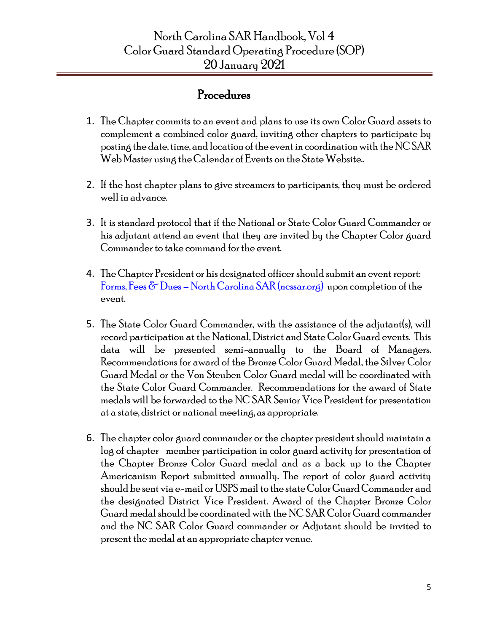### Procedures

- 1. The Chapter commits to an event and plans to use its own Color Guard assets to complement a combined color guard, inviting other chapters to participate by posting the date, time, and location of the event in coordination with the NC SAR Web Master using the Calendar of Events on the State Website..
- 2. If the host chapter plans to give streamers to participants, they must be ordered well in advance.
- 3. It is standard protocol that if the National or State Color Guard Commander or his adjutant attend an event that they are invited by the Chapter Color guard Commander to take command for the event.
- 4. The Chapter President or his designated officer should submit an event report: Forms, Fees  $\delta$  Dues – [North Carolina SAR \(ncssar.org\)](https://www.ncssar.org/join/fees-dues/) upon completion of the event.
- 5. The State Color Guard Commander, with the assistance of the adjutant(s), will record participation at the National, District and State Color Guard events. This data will be presented semi-annually to the Board of Managers. Recommendations for award of the Bronze Color Guard Medal, the Silver Color Guard Medal or the Von Steuben Color Guard medal will be coordinated with the State Color Guard Commander. Recommendations for the award of State medals will be forwarded to the NC SAR Senior Vice President for presentation at a state, district or national meeting, as appropriate.
- 6. The chapter color guard commander or the chapter president should maintain a log of chapter member participation in color guard activity for presentation of the Chapter Bronze Color Guard medal and as a back up to the Chapter Americanism Report submitted annually. The report of color guard activity should be sent via e-mail or USPS mail to the state Color Guard Commander and the designated District Vice President. Award of the Chapter Bronze Color Guard medal should be coordinated with the NC SARColor Guard commander and the NC SAR Color Guard commander or Adjutant should be invited to present the medal at an appropriate chapter venue.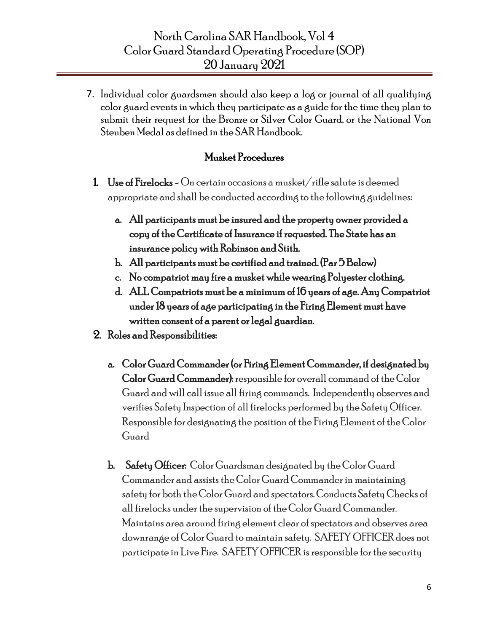7. Individual color guardsmen should also keep a log or journal of all qualifying color guard events in which they participate as a guide for the time they plan to submit their request for the Bronze or Silver Color Guard, or the National Von Steuben Medal as defined in the SAR Handbook.

#### Musket Procedures

- 1. Use of Firelocks On certain occasions a musket/rifle salute is deemed appropriate and shall be conducted according to the following guidelines:
	- a. All participants must be insured and the property owner provided a copy of the Certificate of Insurance if requested. The State has an insurance policy with Robinson and Stith.
	- b. All participants must be certified and trained. (Par 5 Below)
	- c. No compatriot may fire a musket while wearing Polyester clothing.
	- d. ALL Compatriots must be a minimum of 16 years of age. Any Compatriot under 18 years of age participating in the Firing Element must have written consent of a parent or legal guardian.
- 2. Roles and Responsibilities:
	- a. Color Guard Commander (or Firing Element Commander, if designated by Color Guard Commander): responsible for overall command of the Color Guard and will call issue all firing commands. Independently observes and verifies Safety Inspection of all firelocks performed by the Safety Officer. Responsible for designating the position of the Firing Element of the Color Guard
	- b. Safety Officer: Color Guardsman designated by the Color Guard Commander and assists the Color Guard Commander in maintaining safety for both the Color Guard and spectators. Conducts Safety Checks of all firelocks under the supervision of the Color Guard Commander. Maintains area around firing element clear of spectators and observes area downrange of Color Guard to maintain safety. SAFETY OFFICER does not participate in Live Fire. SAFETY OFFICER is responsible for the security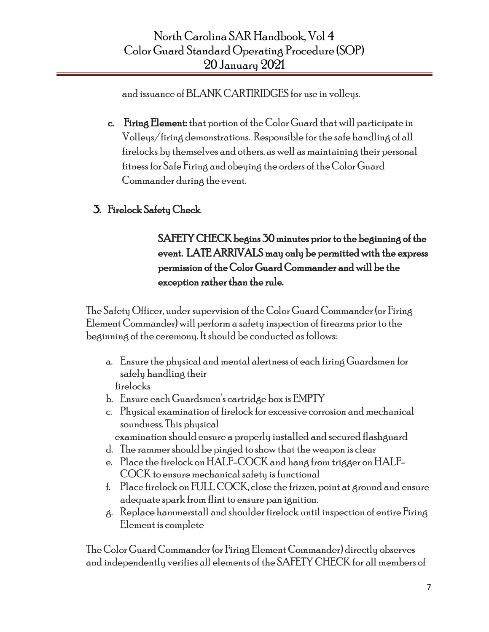and issuance of BLANK CARTIRIDGES for use in volleys.

- c. Firing Element: that portion of the Color Guard that will participate in Volleys/firing demonstrations. Responsible for the safe handling of all firelocks by themselves and others, as well as maintaining their personal fitness for Safe Firing and obeying the orders of the Color Guard Commander during the event.
- 3. Firelock Safety Check

## SAFETY CHECK begins 30 minutes prior to the beginning of the event. LATE ARRIVALS may only be permitted with the express permission of the Color Guard Commander and will be the exception rather than the rule.

The Safety Officer, under supervision of the Color Guard Commander (or Firing Element Commander) will perform a safety inspection of firearms prior to the beginning of the ceremony. It should be conducted as follows:

- a. Ensure the physical and mental alertness of each firing Guardsmen for safely handling their firelocks
- b. Ensure each Guardsmen's cartridge box is EMPTY
- c. Physical examination of firelock for excessive corrosion and mechanical soundness. This physical
- examination should ensure a properly installed and secured flashguard
- d. The rammer should be pinged to show that the weapon is clear
- e. Place the firelock on HALF-COCK and hang from trigger on HALF-COCK to ensure mechanical safety is functional
- f. Place firelock on FULL COCK, close the frizzen, point at ground and ensure adequate spark from flint to ensure pan ignition.
- g. Replace hammerstall and shoulder firelock until inspection of entire Firing Element is complete

The Color Guard Commander (or Firing Element Commander) directly observes and independently verifies all elements of the SAFETY CHECK for all members of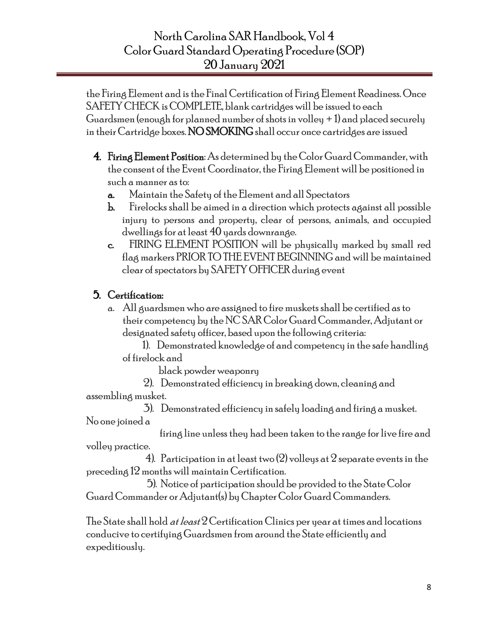the Firing Element and is the Final Certification of Firing Element Readiness. Once SAFETY CHECK is COMPLETE, blank cartridges will be issued to each Guardsmen (enough for planned number of shots in volley  $+1$ ) and placed securely in their Cartridge boxes.NO SMOKINGshall occur once cartridges are issued

- 4. Firing Element Position: As determined by the Color Guard Commander, with the consent of the Event Coordinator, the Firing Element will be positioned in such a manner as to:
	- a. Maintain the Safety of the Element and all Spectators
	- b. Firelocks shall be aimed in a direction which protects against all possible injury to persons and property, clear of persons, animals, and occupied dwellings for at least 40 yards downrange.
	- c. FIRING ELEMENT POSITION will be physically marked by small red flag markers PRIOR TO THE EVENT BEGINNING and will be maintained clear of spectators by SAFETY OFFICER during event

### 5. Certification:

a. All guardsmen who are assigned to fire muskets shall be certified as to their competency by the NC SAR Color Guard Commander, Adjutant or designated safety officer, based upon the following criteria:

 1). Demonstrated knowledge of and competency in the safe handling of firelock and

black powder weaponry

 2). Demonstrated efficiency in breaking down, cleaning and assembling musket.

 3). Demonstrated efficiency in safely loading and firing a musket. No one joined a

 firing line unless they had been taken to the range for live fire and volley practice.

4). Participation in at least two  $(2)$  volleys at 2 separate events in the preceding 12months will maintain Certification.

 5). Notice of participation should be provided to the State Color GuardCommander or Adjutant(s) by Chapter Color Guard Commanders.

The State shall hold *at least*  $2$  Certification Clinics per year at times and locations conducive to certifying Guardsmen from around the State efficiently and expeditiously.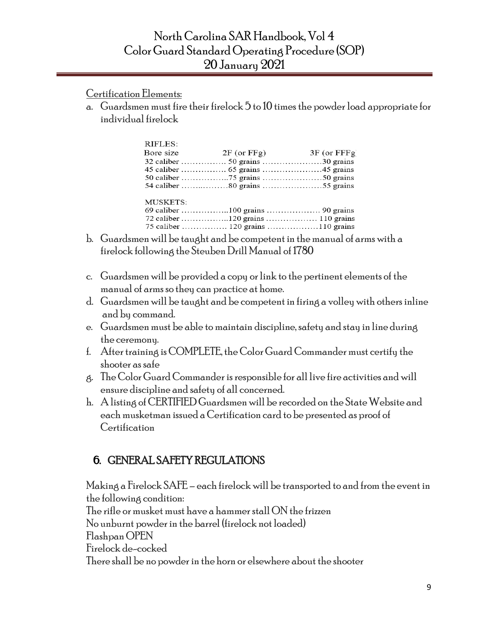Certification Elements:

a. Guardsmen must fire their firelock  $5$  to 10 times the powder load appropriate for individual firelock

| RIFLES:   |                                   |  |
|-----------|-----------------------------------|--|
| Bore size | $2F$ (or FFg) $3F$ (or FFFg)      |  |
|           |                                   |  |
|           |                                   |  |
|           |                                   |  |
|           |                                   |  |
| MUSKETS:  |                                   |  |
|           |                                   |  |
|           |                                   |  |
|           |                                   |  |
|           | 75 caliber  120 grains 110 grains |  |
|           |                                   |  |

- b. Guardsmen will be taught and be competent in the manual of arms with a firelock following the Steuben Drill Manual of 1780
- c. Guardsmen will be provided a copy or link to the pertinent elements of the manual of arms so they can practice at home.
- d. Guardsmen will be taught and be competent in firing a volley with others inline and by command.
- e. Guardsmen must be able to maintain discipline, safety and stay in line during the ceremony.
- f. After training is COMPLETE, the Color Guard Commander must certify the shooter as safe
- g. The Color Guard Commander is responsible for all live fire activities and will ensure discipline and safety of all concerned.
- h. A listing of CERTIFIED Guardsmen will be recorded on the State Website and each musketman issued a Certification card to be presented as proof of Certification

### 6. GENERAL SAFETY REGULATIONS

Making a Firelock SAFE – each firelock will be transported to and from the event in the following condition: The rifle or musket must have a hammer stall ON the frizzen No unburnt powder in the barrel (firelock not loaded) Flashpan OPEN Firelock de-cocked There shall be no powder in the horn or elsewhere about the shooter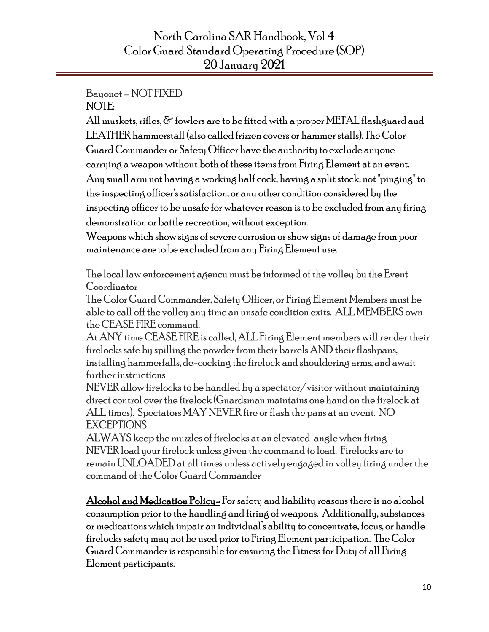#### Bayonet –NOT FIXED NOTE:

All muskets, rifles,  $\delta$  fowlers are to be fitted with a proper METAL flashguard and LEATHER hammerstall (also called frizzen covers or hammer stalls). The Color Guard Commander or Safety Officer have the authority to exclude anyone carrying a weapon without both of these items from Firing Element at an event. Any small arm not having a working half cock, having a split stock, not "pinging" to the inspecting officer's satisfaction, or any other condition considered by the inspecting officer to be unsafe for whatever reason is to be excluded from any firing demonstration or battle recreation, without exception.

Weapons which show signs of severe corrosion or show signs of damage from poor maintenance are to be excluded from any Firing Element use.

The local law enforcement agency must be informed of the volley by the Event Coordinator

The Color Guard Commander, Safety Officer, or Firing Element Members must be able to call off the volley any time an unsafe condition exits. ALL MEMBERS own the CEASE FIRE command.

At ANY time CEASE FIRE is called, ALL Firing Element members will render their firelocks safe by spilling the powder from their barrels AND their flashpans, installing hammerfalls, de-cocking the firelock and shouldering arms, and await further instructions

NEVER allow firelocks to be handled by a spectator/visitor without maintaining direct control over the firelock (Guardsman maintains one hand on the firelock at ALL times). Spectators MAY NEVER fire or flash the pans at an event. NO EXCEPTIONS

ALWAYS keep the muzzles of firelocks at an elevated angle when firing NEVER load your firelock unless given the command to load. Firelocks are to remain UNLOADED at all times unless actively engaged in volley firing under the command of the Color Guard Commander

Alcohol and Medication Policy- For safety and liability reasons there is no alcohol consumption prior to the handling and firing of weapons. Additionally, substances or medications which impair an individual's ability to concentrate, focus, or handle firelocks safety may not be used prior to Firing Element participation. The Color Guard Commander is responsible for ensuring the Fitness for Duty of all Firing Element participants.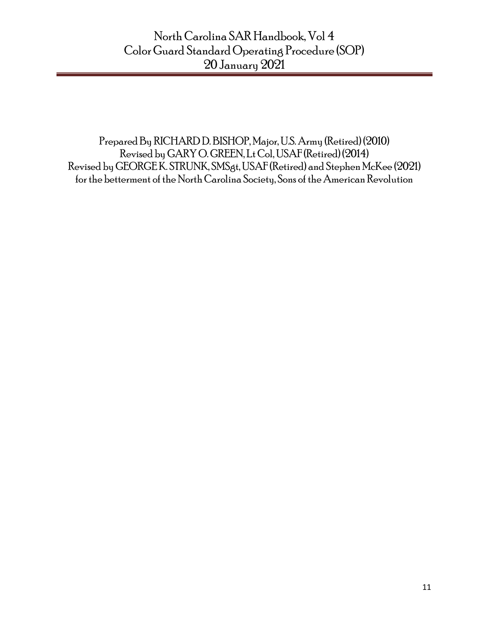Prepared By RICHARD D. BISHOP, Major, U.S. Army (Retired) (2010) Revised by GARY O. GREEN, Lt Col, USAF (Retired) (2014) Revised by GEORGE K. STRUNK, SMSgt, USAF (Retired) and Stephen McKee (2021) for the betterment of the North Carolina Society, Sons of the American Revolution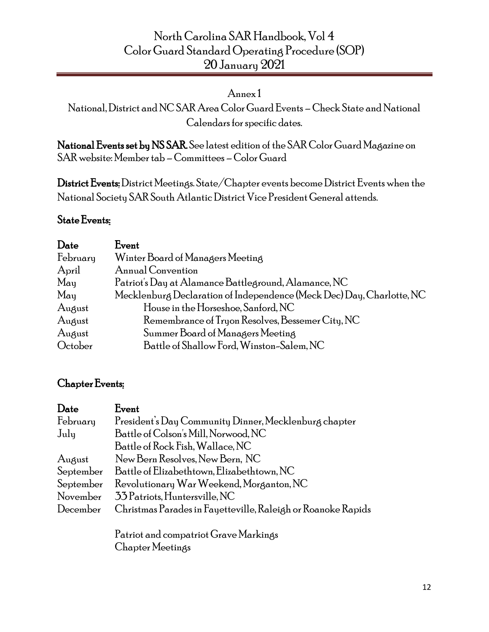#### Annex 1

National, District and NCSAR AreaColor Guard Events –Check State and National Calendars for specific dates.

<span id="page-11-0"></span>National Events set by NS SAR. See latest edition of the SAR Color Guard Magazine on SAR website: Member tab –Committees –Color Guard

District Events:District Meetings. State/Chapter events become District Events when the National Society SAR South Atlantic District Vice President General attends.

#### <span id="page-11-1"></span>State Events:

| Date          | Event                                                                 |
|---------------|-----------------------------------------------------------------------|
| February      | Winter Board of Managers Meeting                                      |
| April         | Annual Convention                                                     |
| $M$ ay        | Patriot's Day at Alamance Battleground, Alamance, NC                  |
| $M_{\rm{au}}$ | Mecklenburg Declaration of Independence (Meck Dec) Day, Charlotte, NC |
| August        | House in the Horseshoe, Sanford, NC                                   |
| August        | Remembrance of Tryon Resolves, Bessemer City, NC                      |
| August        | Summer Board of Managers Meeting                                      |
| October       | Battle of Shallow Ford, Winston-Salem, NC                             |

#### <span id="page-11-2"></span>Chapter Events:

| Date      | Event                                                        |
|-----------|--------------------------------------------------------------|
| February  | President's Day Community Dinner, Mecklenburg chapter        |
| July      | Battle of Colson's Mill, Norwood, NC                         |
|           | Battle of Rock Fish, Wallace, NC                             |
| August    | New Bern Resolves, New Bern, NC                              |
| September | Battle of Elizabethtown, Elizabethtown, NC                   |
| September | Revolutionary War Weekend, Morganton, NC                     |
| November  | 33 Patriots, Huntersville, NC                                |
| December  | Christmas Parades in Fayetteville, Raleigh or Roanoke Rapids |
|           | Patriot and compatriot Grave Markings                        |

Chapter Meetings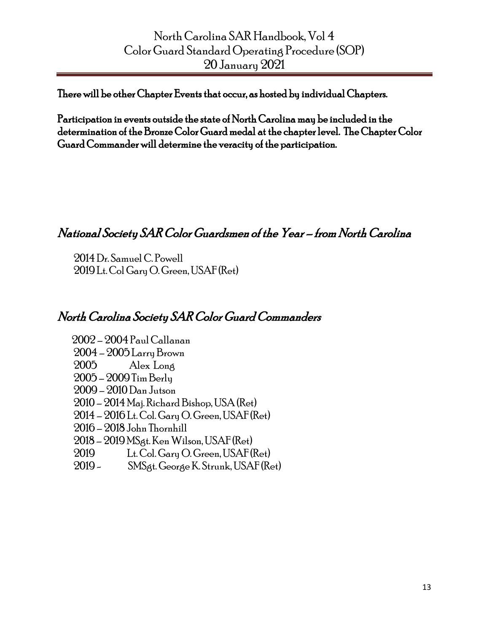There will be other Chapter Events that occur, as hosted by individual Chapters.

Participation in events outside the state of North Carolina may be included in the determination of the Bronze Color Guard medal at the chapter level. The Chapter Color Guard Commander will determine the veracity of the participation.

# National Society SAR Color Guardsmen of the Year – from North Carolina

 2014 Dr. Samuel C. Powell 2019 Lt. Col Gary O. Green, USAF (Ret)

# North Carolina Society SAR Color Guard Commanders

 2002 – 2004 Paul Callanan – 2005 Larry Brown 2005 Alex Long – 2009 Tim Berly – 2010 Dan Jutson – 2014 Maj. Richard Bishop, USA (Ret) – 2016 Lt. Col. Gary O. Green, USAF (Ret) – 2018 John Thornhill – 2019 MSgt. Ken Wilson, USAF (Ret) 2019 Lt. Col. Gary O. Green, USAF (Ret)

2019 - SMSgt. George K. Strunk, USAF (Ret)